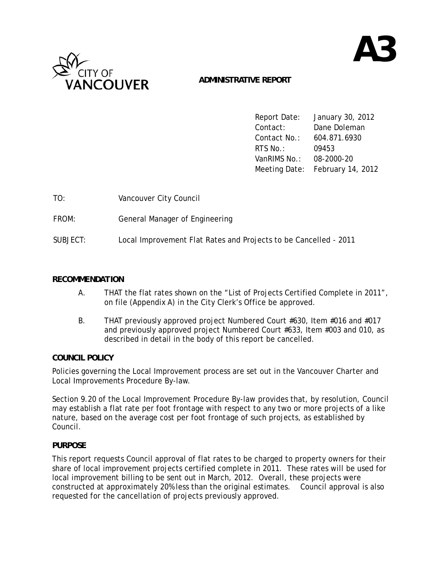

# **ADMINISTRATIVE REPORT**

|                         | Report Date: January 30, 2012   |
|-------------------------|---------------------------------|
| Contact:                | Dane Doleman                    |
| Contact No.:            | 604.871.6930                    |
| RTS No. :               | 09453                           |
| VanRIMS No.: 08-2000-20 |                                 |
|                         | Meeting Date: February 14, 2012 |

| TO:      | Vancouver City Council                                           |
|----------|------------------------------------------------------------------|
| FROM:    | General Manager of Engineering                                   |
| SUBJECT: | Local Improvement Flat Rates and Projects to be Cancelled - 2011 |

#### *RECOMMENDATION*

- A. THAT the flat rates shown on the "List of Projects Certified Complete in 2011", on file (Appendix A) in the City Clerk's Office be approved.
- B. THAT previously approved project Numbered Court #630, Item #016 and #017 and previously approved project Numbered Court #633, Item #003 and 010, as described in detail in the body of this report be cancelled.

### *COUNCIL POLICY*

Policies governing the Local Improvement process are set out in the Vancouver Charter and Local Improvements Procedure By-law.

Section 9.20 of the Local Improvement Procedure By-law provides that, by resolution, Council may establish a flat rate per foot frontage with respect to any two or more projects of a like nature, based on the average cost per foot frontage of such projects, as established by Council.

### *PURPOSE*

This report requests Council approval of flat rates to be charged to property owners for their share of local improvement projects certified complete in 2011. These rates will be used for local improvement billing to be sent out in March, 2012. Overall, these projects were constructed at approximately 20% less than the original estimates. Council approval is also requested for the cancellation of projects previously approved.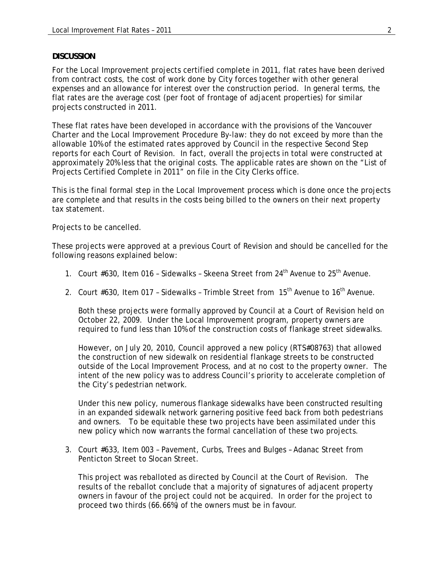#### *DISCUSSION*

For the Local Improvement projects certified complete in 2011, flat rates have been derived from contract costs, the cost of work done by City forces together with other general expenses and an allowance for interest over the construction period. In general terms, the flat rates are the average cost (per foot of frontage of adjacent properties) for similar projects constructed in 2011.

These flat rates have been developed in accordance with the provisions of the Vancouver Charter and the Local Improvement Procedure By-law: they do not exceed by more than the allowable 10% of the estimated rates approved by Council in the respective Second Step reports for each Court of Revision. In fact, overall the projects in total were constructed at approximately 20% less that the original costs. The applicable rates are shown on the "List of Projects Certified Complete in 2011" on file in the City Clerks office.

This is the final formal step in the Local Improvement process which is done once the projects are complete and that results in the costs being billed to the owners on their next property tax statement.

Projects to be cancelled.

These projects were approved at a previous Court of Revision and should be cancelled for the following reasons explained below:

- 1. Court #630, Item 016 Sidewalks Skeena Street from 24<sup>th</sup> Avenue to 25<sup>th</sup> Avenue.
- 2. Court  $#630$ , Item 017 Sidewalks Trimble Street from  $15<sup>th</sup>$  Avenue to  $16<sup>th</sup>$  Avenue.

Both these projects were formally approved by Council at a Court of Revision held on October 22, 2009. Under the Local Improvement program, property owners are required to fund less than 10% of the construction costs of flankage street sidewalks.

However, on July 20, 2010, Council approved a new policy (RTS#08763) that allowed the construction of new sidewalk on residential flankage streets to be constructed outside of the Local Improvement Process, and at no cost to the property owner. The intent of the new policy was to address Council's priority to accelerate completion of the City's pedestrian network.

Under this new policy, numerous flankage sidewalks have been constructed resulting in an expanded sidewalk network garnering positive feed back from both pedestrians and owners. To be equitable these two projects have been assimilated under this new policy which now warrants the formal cancellation of these two projects.

3. Court #633, Item 003 – Pavement, Curbs, Trees and Bulges – Adanac Street from Penticton Street to Slocan Street.

This project was reballoted as directed by Council at the Court of Revision. The results of the reballot conclude that a majority of signatures of adjacent property owners in favour of the project could not be acquired. In order for the project to proceed two thirds (66.66%) of the owners must be in favour.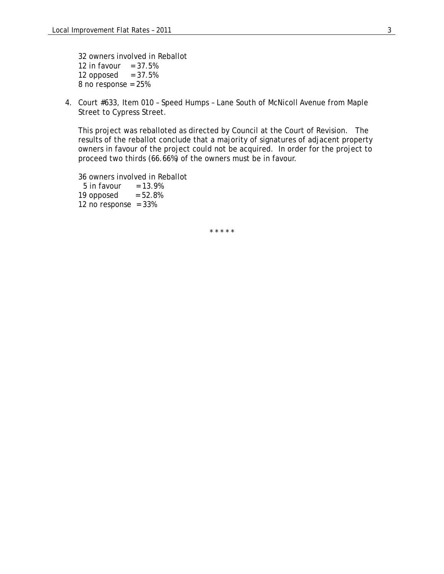32 owners involved in Reballot 12 in favour  $= 37.5%$ 12 opposed  $= 37.5\%$  $8$  no response = 25%

4. Court #633, Item 010 – Speed Humps – Lane South of McNicoll Avenue from Maple Street to Cypress Street.

This project was reballoted as directed by Council at the Court of Revision. The results of the reballot conclude that a majority of signatures of adjacent property owners in favour of the project could not be acquired. In order for the project to proceed two thirds (66.66%) of the owners must be in favour.

36 owners involved in Reballot  $5$  in favour  $= 13.9\%$ 19 opposed  $= 52.8\%$ 12 no response =  $33\%$ 

\* \* \* \* \*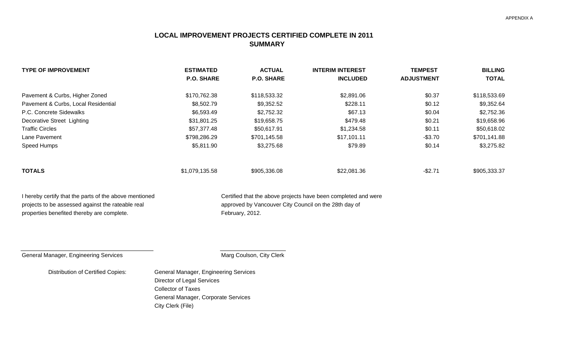## **LOCAL IMPROVEMENT PROJECTS CERTIFIED COMPLETE IN 2011 SUMMARY**

| <b>TYPE OF IMPROVEMENT</b>          | <b>ESTIMATED</b>  | <b>ACTUAL</b>     | <b>INTERIM INTEREST</b> | <b>TEMPEST</b>    | <b>BILLING</b> |
|-------------------------------------|-------------------|-------------------|-------------------------|-------------------|----------------|
|                                     | <b>P.O. SHARE</b> | <b>P.O. SHARE</b> | <b>INCLUDED</b>         | <b>ADJUSTMENT</b> | <b>TOTAL</b>   |
| Pavement & Curbs, Higher Zoned      | \$170,762.38      | \$118,533.32      | \$2,891.06              | \$0.37            | \$118,533.69   |
| Pavement & Curbs, Local Residential | \$8,502.79        | \$9,352.52        | \$228.11                | \$0.12            | \$9,352.64     |
| P.C. Concrete Sidewalks             | \$6,593.49        | \$2,752.32        | \$67.13                 | \$0.04            | \$2,752.36     |
| Decorative Street Lighting          | \$31,801.25       | \$19,658.75       | \$479.48                | \$0.21            | \$19,658.96    |
| <b>Traffic Circles</b>              | \$57,377.48       | \$50,617.91       | \$1,234.58              | \$0.11            | \$50,618.02    |
| Lane Pavement                       | \$798,286.29      | \$701,145.58      | \$17,101.11             | $-$3.70$          | \$701,141.88   |
| Speed Humps                         | \$5,811.90        | \$3,275.68        | \$79.89                 | \$0.14            | \$3,275.82     |
| <b>TOTALS</b>                       | \$1,079,135.58    | \$905,336.08      | \$22,081.36             | $-$2.71$          | \$905,333.37   |

properties benefited thereby are complete. The state of the February, 2012.

I hereby certify that the parts of the above mentioned Certified that the above projects have been completed and were projects to be assessed against the rateable real approved by Vancouver City Council on the 28th day of

Marg Coulson, City Clerk

Distribution of Certified Copies: General Manager, Engineering Services

Director of Legal Services Collector of TaxesGeneral Manager, Corporate Services City Clerk (File)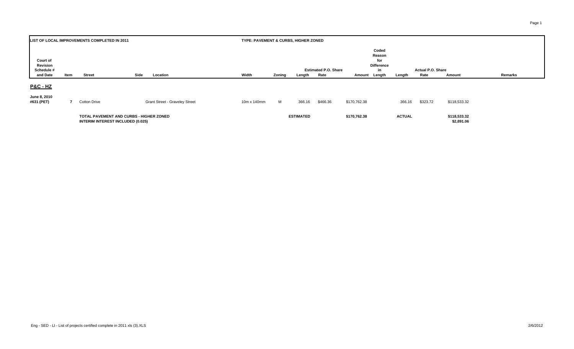| LIST OF LOCAL IMPROVEMENTS COMPLETED IN 2011          |                                           |                     |  |                                       |  | TYPE: PAVEMENT & CURBS, HIGHER ZONED |                                                                                                                                                                                |                  |          |              |  |               |          |              |  |  |  |
|-------------------------------------------------------|-------------------------------------------|---------------------|--|---------------------------------------|--|--------------------------------------|--------------------------------------------------------------------------------------------------------------------------------------------------------------------------------|------------------|----------|--------------|--|---------------|----------|--------------|--|--|--|
| <b>Court of</b><br>Revision<br>Schedule #<br>and Date | Side<br><b>Street</b><br>Location<br>Item |                     |  |                                       |  | Width                                | Coded<br>Reason<br>for<br><b>Difference</b><br>Actual P.O. Share<br><b>Estimated P.O. Share</b><br>in<br>Zoning<br>Rate<br>Rate<br>Amount<br>Length<br>Amount Length<br>Length |                  |          |              |  |               |          | Remarks      |  |  |  |
| <u> P&amp;C - HZ</u>                                  |                                           |                     |  |                                       |  |                                      |                                                                                                                                                                                |                  |          |              |  |               |          |              |  |  |  |
| June 8, 2010<br>#631 (PET)                            | 7                                         | <b>Cotton Drive</b> |  | <b>Grant Street - Graveley Street</b> |  | 10m x 140mm                          | M                                                                                                                                                                              | 366.16           | \$466.36 | \$170,762.38 |  | 366.16        | \$323.72 | \$118,533.32 |  |  |  |
|                                                       | TOTAL PAVEMENT AND CURBS - HIGHER ZONED   |                     |  |                                       |  |                                      |                                                                                                                                                                                | <b>ESTIMATED</b> |          | \$170,762.38 |  | <b>ACTUAL</b> |          | \$118,533.32 |  |  |  |

**INTERIM INTEREST INCLUDED (0.025) \$2,891.06**

Page 1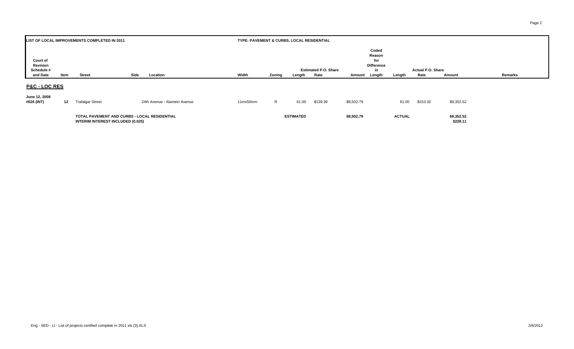|                                    |                                                                                          | LIST OF LOCAL IMPROVEMENTS COMPLETED IN 2011 |                              | TYPE: PAVEMENT & CURBS, LOCAL RESIDENTIAL |        |                  |                             |               |                                                   |               |                          |                        |         |
|------------------------------------|------------------------------------------------------------------------------------------|----------------------------------------------|------------------------------|-------------------------------------------|--------|------------------|-----------------------------|---------------|---------------------------------------------------|---------------|--------------------------|------------------------|---------|
| Court of<br>Revision<br>Schedule # |                                                                                          |                                              |                              |                                           |        |                  | <b>Estimated P.O. Share</b> |               | Coded<br>Reason<br>for<br><b>Difference</b><br>in |               | <b>Actual P.O. Share</b> |                        |         |
| and Date                           | Item                                                                                     | <b>Street</b>                                | Side<br>Location             | Width                                     | Zoning | Length           | Rate                        | Amount Length |                                                   | Length        | Rate                     | Amount                 | Remarks |
| <b>P&amp;C - LOC RES</b>           |                                                                                          |                                              |                              |                                           |        |                  |                             |               |                                                   |               |                          |                        |         |
| June 12, 2008<br>#626 (INT)        | 12                                                                                       | <b>Trafalgar Street</b>                      | 24th Avenue - Alamein Avenue | 11mx50mm                                  | R.     | 61.00            | \$139.39                    | \$8,502.79    |                                                   | 61.00         | \$153.32                 | \$9,352.52             |         |
|                                    | TOTAL PAVEMENT AND CURBS - LOCAL RESIDENTIAL<br><b>INTERIM INTEREST INCLUDED (0.025)</b> |                                              |                              |                                           |        | <b>ESTIMATED</b> |                             | \$8,502.79    |                                                   | <b>ACTUAL</b> |                          | \$9,352.52<br>\$228.11 |         |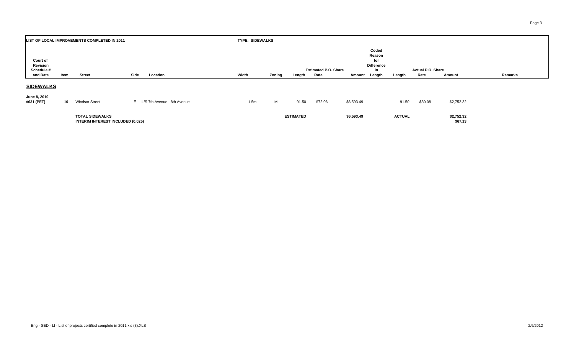| LIST OF LOCAL IMPROVEMENTS COMPLETED IN 2011   |      |                                                                    |      |                               |       | <b>TYPE: SIDEWALKS</b> |                  |                                     |            |                                                             |               |                           |                       |         |  |  |  |
|------------------------------------------------|------|--------------------------------------------------------------------|------|-------------------------------|-------|------------------------|------------------|-------------------------------------|------------|-------------------------------------------------------------|---------------|---------------------------|-----------------------|---------|--|--|--|
| Court of<br>Revision<br>Schedule #<br>and Date | Item | <b>Street</b>                                                      | Side | Location                      | Width | Zoning                 | Length           | <b>Estimated P.O. Share</b><br>Rate | Amount     | Coded<br>Reason<br>for<br><b>Difference</b><br>in<br>Length | Length        | Actual P.O. Share<br>Rate | Amount                | Remarks |  |  |  |
|                                                |      |                                                                    |      |                               |       |                        |                  |                                     |            |                                                             |               |                           |                       |         |  |  |  |
| <b>SIDEWALKS</b>                               |      |                                                                    |      |                               |       |                        |                  |                                     |            |                                                             |               |                           |                       |         |  |  |  |
| June 8, 2010<br>#631 (PET)                     | 10   | <b>Windsor Street</b>                                              |      | E L/S 7th Avenue - 8th Avenue | 1.5m  | M                      | 91.50            | \$72.06                             | \$6,593.49 |                                                             | 91.50         | \$30.08                   | \$2,752.32            |         |  |  |  |
|                                                |      | <b>TOTAL SIDEWALKS</b><br><b>INTERIM INTEREST INCLUDED (0.025)</b> |      |                               |       |                        | <b>ESTIMATED</b> |                                     | \$6,593.49 |                                                             | <b>ACTUAL</b> |                           | \$2,752.32<br>\$67.13 |         |  |  |  |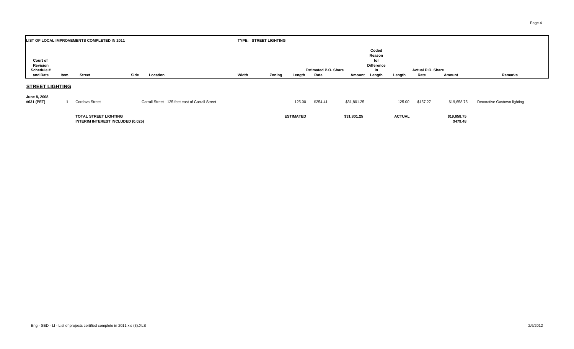| Coded<br>Reason<br>Court of<br>for<br>Revision<br><b>Difference</b><br>Schedule #<br><b>Estimated P.O. Share</b><br><b>Actual P.O. Share</b><br>in    | LIST OF LOCAL IMPROVEMENTS COMPLETED IN 2011 |  |  |  |  |  | TYPE: STREET LIGHTING |  |  |  |  |
|-------------------------------------------------------------------------------------------------------------------------------------------------------|----------------------------------------------|--|--|--|--|--|-----------------------|--|--|--|--|
|                                                                                                                                                       |                                              |  |  |  |  |  |                       |  |  |  |  |
|                                                                                                                                                       |                                              |  |  |  |  |  |                       |  |  |  |  |
|                                                                                                                                                       |                                              |  |  |  |  |  |                       |  |  |  |  |
|                                                                                                                                                       |                                              |  |  |  |  |  |                       |  |  |  |  |
| Width<br>Remarks<br>and Date<br>Side<br>Location<br>Zoning<br>Rate<br><b>Street</b><br>Rate<br>Amount<br>Length<br>Item<br>Length<br>Amount<br>Length |                                              |  |  |  |  |  |                       |  |  |  |  |

#### **STREET LIGHTING**

| JUNG U, ZUUU<br>#631 (PET) | Cordova Street                                                           | Carrall Street - 125 feet east of Carrall Street | 125.00           | \$254.41 | \$31,801.25 | 125.00        | \$157.27 | \$19,658.75             | Decorative Gastown lighting |
|----------------------------|--------------------------------------------------------------------------|--------------------------------------------------|------------------|----------|-------------|---------------|----------|-------------------------|-----------------------------|
|                            | <b>TOTAL STREET LIGHTING</b><br><b>INTERIM INTEREST INCLUDED (0.025)</b> |                                                  | <b>ESTIMATED</b> |          | \$31,801.25 | <b>ACTUAL</b> |          | \$19,658.75<br>\$479.48 |                             |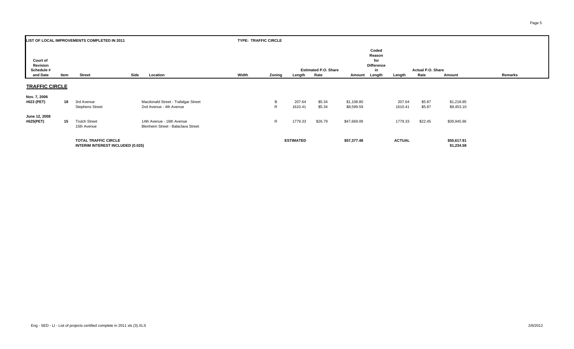| LIST OF LOCAL IMPROVEMENTS COMPLETED IN 2011   |      |                                                                         |      |                                                                 |       | <b>TYPE: TRAFFIC CIRCLE</b> |                   |                                     |                          |                                                   |                   |                           |                           |         |
|------------------------------------------------|------|-------------------------------------------------------------------------|------|-----------------------------------------------------------------|-------|-----------------------------|-------------------|-------------------------------------|--------------------------|---------------------------------------------------|-------------------|---------------------------|---------------------------|---------|
| Court of<br>Revision<br>Schedule #<br>and Date | Item | <b>Street</b>                                                           | Side | Location                                                        | Width | Zoning                      | Length            | <b>Estimated P.O. Share</b><br>Rate | Amount Length            | Coded<br>Reason<br>for<br><b>Difference</b><br>in | Length            | Actual P.O. Share<br>Rate | Amount                    | Remarks |
| <b>TRAFFIC CIRCLE</b>                          |      |                                                                         |      |                                                                 |       |                             |                   |                                     |                          |                                                   |                   |                           |                           |         |
| Nov. 7, 2006<br>#623 (PET)                     | 18   | 3rd Avenue<br><b>Stephens Street</b>                                    |      | Macdonald Street - Trafalgar Street<br>2nd Avenue - 4th Avenue  |       | B<br>R.                     | 207.64<br>1610.41 | \$5.34<br>\$5.34                    | \$1,108.80<br>\$8,599.59 |                                                   | 207.64<br>1610.41 | \$5.87<br>\$5.87          | \$1,218.85<br>\$9,453.10  |         |
| June 12, 2008<br>#625(PET)                     | 15   | <b>Trutch Street</b><br>15th Avenue                                     |      | 14th Avenue - 16th Avenue<br>Blenheim Street - Balaclava Street |       | R                           | 1779.33           | \$26.79                             | \$47,669.09              |                                                   | 1779.33           | \$22.45                   | \$39,945.96               |         |
|                                                |      | <b>TOTAL TRAFFIC CIRCLE</b><br><b>INTERIM INTEREST INCLUDED (0.025)</b> |      |                                                                 |       |                             | <b>ESTIMATED</b>  |                                     | \$57,377.48              |                                                   | <b>ACTUAL</b>     |                           | \$50,617.91<br>\$1,234.58 |         |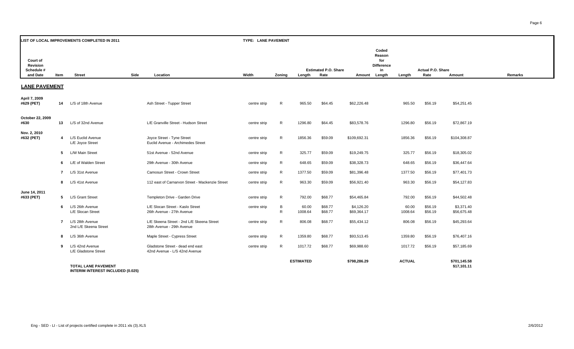| LIST OF LOCAL IMPROVEMENTS COMPLETED IN 2011   |                         |                                          |                                                                        |              | TYPE: LANE PAVEMENT |                  |                                     |                           |                                                             |                  |                           |                             |         |  |
|------------------------------------------------|-------------------------|------------------------------------------|------------------------------------------------------------------------|--------------|---------------------|------------------|-------------------------------------|---------------------------|-------------------------------------------------------------|------------------|---------------------------|-----------------------------|---------|--|
| Court of<br>Revision<br>Schedule #<br>and Date | Item                    | <b>Street</b>                            | Side<br>Location                                                       | Width        | Zoning              | Length           | <b>Estimated P.O. Share</b><br>Rate | Amount                    | Coded<br>Reason<br>for<br><b>Difference</b><br>in<br>Length | Length           | Actual P.O. Share<br>Rate | Amount                      | Remarks |  |
| <b>LANE PAVEMENT</b>                           |                         |                                          |                                                                        |              |                     |                  |                                     |                           |                                                             |                  |                           |                             |         |  |
| April 7, 2009<br>#629 (PET)                    | 14                      | L/S of 18th Avenue                       | Ash Street - Tupper Street                                             | centre strip | R                   | 965.50           | \$64.45                             | \$62,226.48               |                                                             | 965.50           | \$56.19                   | \$54,251.45                 |         |  |
| October 22, 2009<br>#630                       | 13                      | L/S of 32nd Avenue                       | L/E Granville Street - Hudson Street                                   | centre strip | R                   | 1296.80          | \$64.45                             | \$83,578.76               |                                                             | 1296.80          | \$56.19                   | \$72,867.19                 |         |  |
| Nov. 2, 2010<br>#632 (PET)                     | $\overline{\mathbf{4}}$ | L/S Euclid Avenue<br>L/E Joyce Street    | Joyce Street - Tyne Street<br>Euclid Avenue - Archimedes Street        | centre strip | R                   | 1856.36          | \$59.09                             | \$109,692.31              |                                                             | 1856.36          | \$56.19                   | \$104,308.87                |         |  |
|                                                | 5                       | L/W Main Street                          | 51st Avenue - 52nd Avenue                                              | centre strip | $\mathsf{R}$        | 325.77           | \$59.09                             | \$19,249.75               |                                                             | 325.77           | \$56.19                   | \$18,305.02                 |         |  |
|                                                | 6                       | L/E of Walden Street                     | 29th Avenue - 30th Avenue                                              | centre strip | R                   | 648.65           | \$59.09                             | \$38,328.73               |                                                             | 648.65           | \$56.19                   | \$36,447.64                 |         |  |
|                                                | -7                      | L/S 31st Avenue                          | Camosun Street - Crown Street                                          | centre strip | R                   | 1377.50          | \$59.09                             | \$81,396.48               |                                                             | 1377.50          | \$56.19                   | \$77,401.73                 |         |  |
|                                                | 8                       | L/S 41st Avenue                          | 112 east of Carnarvon Street - Mackenzie Street                        | centre strip | R                   | 963.30           | \$59.09                             | \$56,921.40               |                                                             | 963.30           | \$56.19                   | \$54,127.83                 |         |  |
| June 14, 2011<br>#633 (PET)                    | 5                       | L/S Grant Street                         | Templeton Drive - Garden Drive                                         | centre strip | $\mathsf{R}$        | 792.00           | \$68.77                             | \$54,465.84               |                                                             | 792.00           | \$56.19                   | \$44,502.48                 |         |  |
|                                                | -6                      | L/S 26th Avenue<br>L/E Slocan Street     | L/E Slocan Street - Kaslo Street<br>26th Avenue - 27th Avenue          | centre strip | B<br>$\mathsf{R}$   | 60.00<br>1008.64 | \$68.77<br>\$68.77                  | \$4,126.20<br>\$69,364.17 |                                                             | 60.00<br>1008.64 | \$56.19<br>\$56.19        | \$3,371.40<br>\$56,675.48   |         |  |
|                                                | $\overline{7}$          | L/S 28th Avenue<br>2nd L/E Skeena Street | L/E Skeena Street - 2nd L/E Skeena Street<br>28th Avenue - 29th Avenue | centre strip | R                   | 806.08           | \$68.77                             | \$55,434.12               |                                                             | 806.08           | \$56.19                   | \$45,293.64                 |         |  |
|                                                | -8                      | L/S 36th Avenue                          | Maple Street - Cypress Street                                          | centre strip | R                   | 1359.80          | \$68.77                             | \$93,513.45               |                                                             | 1359.80          | \$56.19                   | \$76,407.16                 |         |  |
|                                                | 9                       | L/S 42nd Avenue<br>L/E Gladstone Street  | Gladstone Street - dead end east<br>42nd Avenue - L/S 42nd Avenue      | centre strip | R                   | 1017.72          | \$68.77                             | \$69,988.60               |                                                             | 1017.72          | \$56.19                   | \$57,185.69                 |         |  |
|                                                |                         | <b>TOTAL LANE PAVEMENT</b>               | $\sim$ $\sim$                                                          |              |                     | <b>ESTIMATED</b> |                                     | \$798,286.29              |                                                             | <b>ACTUAL</b>    |                           | \$701,145.58<br>\$17,101.11 |         |  |

**INTERIM INTEREST INCLUDED (0.025)**